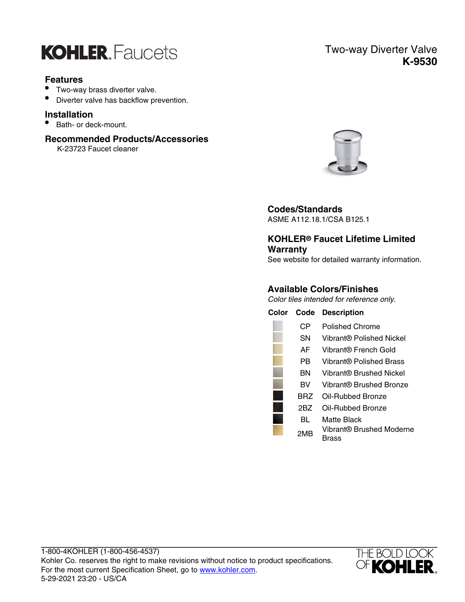

## **Features**

- Two-way brass diverter valve.
- Diverter valve has backflow prevention.

## **Installation**

• Bath- or deck-mount.

## **Recommended Products/Accessories**

K-23723 Faucet cleaner

## Two-way Diverter Valve **K-9530**



## **Codes/Standards**

ASME A112.18.1/CSA B125.1

# **KOHLER® Faucet Lifetime Limited Warranty**

See website for detailed warranty information.

## **Available Colors/Finishes**

Color tiles intended for reference only.

| Color | Code | <b>Description</b>                |
|-------|------|-----------------------------------|
|       | CР   | Polished Chrome                   |
|       | SΝ   | Vibrant® Polished Nickel          |
|       | AF   | Vibrant® French Gold              |
|       | РR   | Vibrant® Polished Brass           |
|       | BN   | Vibrant® Brushed Nickel           |
|       | вv   | Vibrant® Brushed Bronze           |
|       | BRZ  | Oil-Rubbed Bronze                 |
|       | 2BZ  | Oil-Rubbed Bronze                 |
|       | BL   | Matte Black                       |
|       | 2MB  | Vibrant® Brushed Moderne<br>Brass |